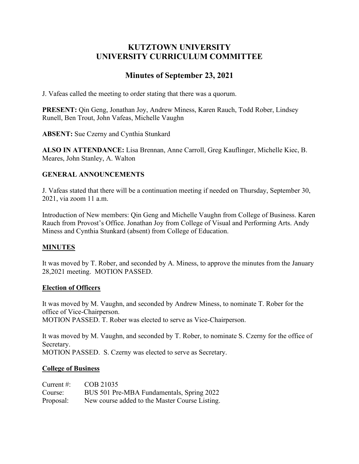# **KUTZTOWN UNIVERSITY UNIVERSITY CURRICULUM COMMITTEE**

# **Minutes of September 23, 2021**

J. Vafeas called the meeting to order stating that there was a quorum.

**PRESENT:** Qin Geng, Jonathan Joy, Andrew Miness, Karen Rauch, Todd Rober, Lindsey Runell, Ben Trout, John Vafeas, Michelle Vaughn

**ABSENT:** Sue Czerny and Cynthia Stunkard

**ALSO IN ATTENDANCE:** Lisa Brennan, Anne Carroll, Greg Kauflinger, Michelle Kiec, B. Meares, John Stanley, A. Walton

## **GENERAL ANNOUNCEMENTS**

J. Vafeas stated that there will be a continuation meeting if needed on Thursday, September 30, 2021, via zoom 11 a.m.

Introduction of New members: Qin Geng and Michelle Vaughn from College of Business. Karen Rauch from Provost's Office. Jonathan Joy from College of Visual and Performing Arts. Andy Miness and Cynthia Stunkard (absent) from College of Education.

## **MINUTES**

It was moved by T. Rober, and seconded by A. Miness, to approve the minutes from the January 28,2021 meeting. MOTION PASSED.

## **Election of Officers**

It was moved by M. Vaughn, and seconded by Andrew Miness, to nominate T. Rober for the office of Vice-Chairperson. MOTION PASSED. T. Rober was elected to serve as Vice-Chairperson.

It was moved by M. Vaughn, and seconded by T. Rober, to nominate S. Czerny for the office of Secretary.

MOTION PASSED. S. Czerny was elected to serve as Secretary.

#### **College of Business**

| Current $\#$ : | COB 21035                                      |
|----------------|------------------------------------------------|
| Course:        | BUS 501 Pre-MBA Fundamentals, Spring 2022      |
| Proposal:      | New course added to the Master Course Listing. |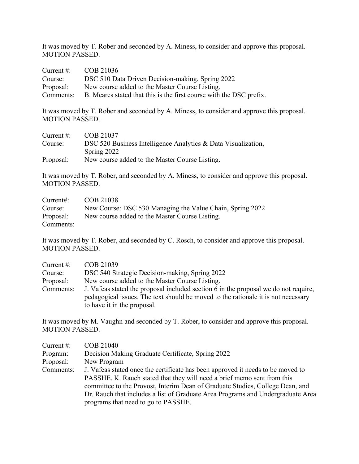It was moved by T. Rober and seconded by A. Miness, to consider and approve this proposal. MOTION PASSED.

| Current $\#$ : | COB 21036                                                                     |
|----------------|-------------------------------------------------------------------------------|
| Course:        | DSC 510 Data Driven Decision-making, Spring 2022                              |
| Proposal:      | New course added to the Master Course Listing.                                |
|                | Comments: B. Meares stated that this is the first course with the DSC prefix. |

It was moved by T. Rober and seconded by A. Miness, to consider and approve this proposal. MOTION PASSED.

| Current $\#$ : | COB 21037                                                     |
|----------------|---------------------------------------------------------------|
| Course:        | DSC 520 Business Intelligence Analytics & Data Visualization, |
|                | Spring 2022                                                   |
| Proposal:      | New course added to the Master Course Listing.                |

It was moved by T. Rober, and seconded by A. Miness, to consider and approve this proposal. MOTION PASSED.

| Current:  | COB 21038                                                 |
|-----------|-----------------------------------------------------------|
| Course:   | New Course: DSC 530 Managing the Value Chain, Spring 2022 |
| Proposal: | New course added to the Master Course Listing.            |
| Comments: |                                                           |

It was moved by T. Rober, and seconded by C. Rosch, to consider and approve this proposal. MOTION PASSED.

| Current $#$ : | COB 21039                                                                                                                                                                                               |
|---------------|---------------------------------------------------------------------------------------------------------------------------------------------------------------------------------------------------------|
| Course:       | DSC 540 Strategic Decision-making, Spring 2022                                                                                                                                                          |
| Proposal:     | New course added to the Master Course Listing.                                                                                                                                                          |
| Comments:     | J. Vafeas stated the proposal included section 6 in the proposal we do not require,<br>pedagogical issues. The text should be moved to the rationale it is not necessary<br>to have it in the proposal. |

It was moved by M. Vaughn and seconded by T. Rober, to consider and approve this proposal. MOTION PASSED.

| Current $#$ : | COB 21040                                                                       |
|---------------|---------------------------------------------------------------------------------|
| Program:      | Decision Making Graduate Certificate, Spring 2022                               |
| Proposal:     | New Program                                                                     |
| Comments:     | J. Vafeas stated once the certificate has been approved it needs to be moved to |
|               | PASSHE. K. Rauch stated that they will need a brief memo sent from this         |
|               | committee to the Provost, Interim Dean of Graduate Studies, College Dean, and   |
|               | Dr. Rauch that includes a list of Graduate Area Programs and Undergraduate Area |
|               | programs that need to go to PASSHE.                                             |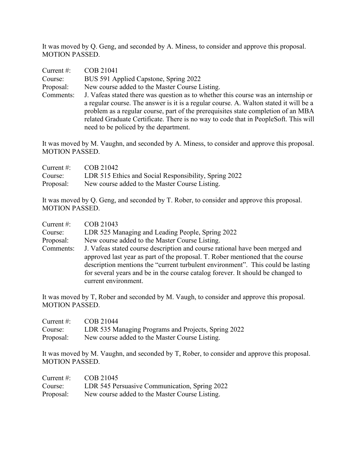It was moved by Q. Geng, and seconded by A. Miness, to consider and approve this proposal. MOTION PASSED.

| Current $#$ : | COB 21041                                                                             |
|---------------|---------------------------------------------------------------------------------------|
| Course:       | BUS 591 Applied Capstone, Spring 2022                                                 |
| Proposal:     | New course added to the Master Course Listing.                                        |
| Comments:     | J. Vafeas stated there was question as to whether this course was an internship or    |
|               | a regular course. The answer is it is a regular course. A. Walton stated it will be a |
|               | problem as a regular course, part of the prerequisites state completion of an MBA     |
|               | related Graduate Certificate. There is no way to code that in PeopleSoft. This will   |
|               | need to be policed by the department.                                                 |

It was moved by M. Vaughn, and seconded by A. Miness, to consider and approve this proposal. MOTION PASSED.

| Current $\#$ : | COB 21042                                             |
|----------------|-------------------------------------------------------|
| Course:        | LDR 515 Ethics and Social Responsibility, Spring 2022 |
| Proposal:      | New course added to the Master Course Listing.        |

It was moved by Q. Geng, and seconded by T. Rober, to consider and approve this proposal. MOTION PASSED.

| Current $#$ : | COB 21043                                                                                                                                                                                                                                                                                                                                                    |
|---------------|--------------------------------------------------------------------------------------------------------------------------------------------------------------------------------------------------------------------------------------------------------------------------------------------------------------------------------------------------------------|
| Course:       | LDR 525 Managing and Leading People, Spring 2022                                                                                                                                                                                                                                                                                                             |
| Proposal:     | New course added to the Master Course Listing.                                                                                                                                                                                                                                                                                                               |
| Comments:     | J. Vafeas stated course description and course rational have been merged and<br>approved last year as part of the proposal. T. Rober mentioned that the course<br>description mentions the "current turbulent environment". This could be lasting<br>for several years and be in the course catalog forever. It should be changed to<br>current environment. |

It was moved by T, Rober and seconded by M. Vaugh, to consider and approve this proposal. MOTION PASSED.

| Current $\#$ : | COB 21044                                           |
|----------------|-----------------------------------------------------|
| Course:        | LDR 535 Managing Programs and Projects, Spring 2022 |
| Proposal:      | New course added to the Master Course Listing.      |

It was moved by M. Vaughn, and seconded by T, Rober, to consider and approve this proposal. MOTION PASSED.

| Current $\#$ : | COB 21045                                      |
|----------------|------------------------------------------------|
| Course:        | LDR 545 Persuasive Communication, Spring 2022  |
| Proposal:      | New course added to the Master Course Listing. |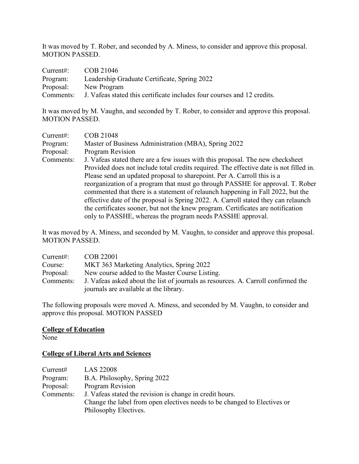It was moved by T. Rober, and seconded by A. Miness, to consider and approve this proposal. MOTION PASSED.

| Current:  | COB 21046                                                               |
|-----------|-------------------------------------------------------------------------|
| Program:  | Leadership Graduate Certificate, Spring 2022                            |
| Proposal: | New Program                                                             |
| Comments: | J. Vafeas stated this certificate includes four courses and 12 credits. |

It was moved by M. Vaughn, and seconded by T. Rober, to consider and approve this proposal. MOTION PASSED.

| Current:  | COB 21048                                                                              |
|-----------|----------------------------------------------------------------------------------------|
| Program:  | Master of Business Administration (MBA), Spring 2022                                   |
| Proposal: | <b>Program Revision</b>                                                                |
| Comments: | J. Vafeas stated there are a few issues with this proposal. The new checksheet         |
|           | Provided does not include total credits required. The effective date is not filled in. |
|           | Please send an updated proposal to sharepoint. Per A. Carroll this is a                |
|           | reorganization of a program that must go through PASSHE for approval. T. Rober         |
|           | commented that there is a statement of relaunch happening in Fall 2022, but the        |
|           | effective date of the proposal is Spring 2022. A. Carroll stated they can relaunch     |
|           | the certificates sooner, but not the knew program. Certificates are notification       |
|           | only to PASSHE, whereas the program needs PASSHE approval.                             |

It was moved by A. Miness, and seconded by M. Vaughn, to consider and approve this proposal. MOTION PASSED.

| Current:  | COB 22001                                                                         |
|-----------|-----------------------------------------------------------------------------------|
| Course:   | MKT 363 Marketing Analytics, Spring 2022                                          |
| Proposal: | New course added to the Master Course Listing.                                    |
| Comments: | J. Vafeas asked about the list of journals as resources. A. Carroll confirmed the |
|           | journals are available at the library.                                            |

The following proposals were moved A. Miness, and seconded by M. Vaughn, to consider and approve this proposal. MOTION PASSED

#### **College of Education**

None

## **College of Liberal Arts and Sciences**

| Current#  | <b>LAS 22008</b>                                                         |
|-----------|--------------------------------------------------------------------------|
| Program:  | B.A. Philosophy, Spring 2022                                             |
| Proposal: | <b>Program Revision</b>                                                  |
| Comments: | J. Vafeas stated the revision is change in credit hours.                 |
|           | Change the label from open electives needs to be changed to Electives or |
|           | Philosophy Electives.                                                    |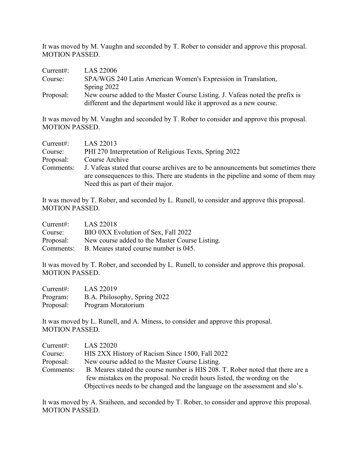It was moved by M. Vaughn and seconded by T. Rober to consider and approve this proposal. MOTION PASSED.

| Current:  | LAS 22006                                                                                                                                            |
|-----------|------------------------------------------------------------------------------------------------------------------------------------------------------|
| Course:   | SPA/WGS 240 Latin American Women's Expression in Translation,                                                                                        |
|           | Spring $2022$                                                                                                                                        |
| Proposal: | New course added to the Master Course Listing. J. Vafeas noted the prefix is<br>different and the department would like it approved as a new course. |

It was moved by M. Vaughn and seconded by T. Rober to consider and approve this proposal. MOTION PASSED.

| Current:  | LAS 22013                                                                                                                                                              |  |
|-----------|------------------------------------------------------------------------------------------------------------------------------------------------------------------------|--|
| Course:   | PHI 270 Interpretation of Religious Texts, Spring 2022                                                                                                                 |  |
| Proposal: | Course Archive                                                                                                                                                         |  |
| Comments: | J. Vafeas stated that course archives are to be announcements but sometimes there<br>are consequences to this. There are students in the pipeline and some of them may |  |
|           | Need this as part of their major.                                                                                                                                      |  |

It was moved by T. Rober, and seconded by L. Runell, to consider and approve this proposal. MOTION PASSED.

| Current:  | LAS 22018                                      |
|-----------|------------------------------------------------|
| Course:   | BIO 0XX Evolution of Sex, Fall 2022            |
| Proposal: | New course added to the Master Course Listing. |
| Comments: | B. Meares stated course number is 045.         |

It was moved by T. Rober, and seconded by L. Runell, to consider and approve this proposal. MOTION PASSED.

| Current:  | <b>LAS 22019</b>             |
|-----------|------------------------------|
| Program:  | B.A. Philosophy, Spring 2022 |
| Proposal: | Program Moratorium           |

It was moved by L. Runell, and A. Miness, to consider and approve this proposal. MOTION PASSED.

| Current:  | LAS 22020                                                                      |
|-----------|--------------------------------------------------------------------------------|
| Course:   | HIS 2XX History of Racism Since 1500, Fall 2022                                |
| Proposal: | New course added to the Master Course Listing.                                 |
| Comments: | B. Meares stated the course number is HIS 208. T. Rober noted that there are a |
|           | few mistakes on the proposal. No credit hours listed, the wording on the       |
|           | Objectives needs to be changed and the language on the assessment and slo's.   |

It was moved by A. Sraiheen, and seconded by T. Rober, to consider and approve this proposal. MOTION PASSED.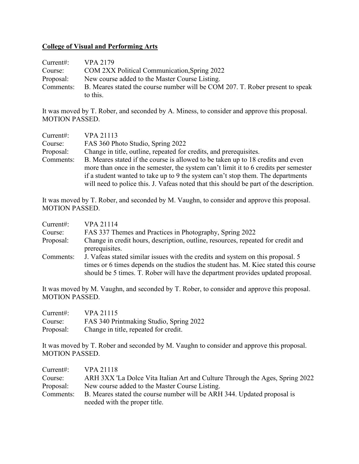#### **College of Visual and Performing Arts**

| Current:  | VPA 2179                                                                      |
|-----------|-------------------------------------------------------------------------------|
| Course:   | COM 2XX Political Communication, Spring 2022                                  |
| Proposal: | New course added to the Master Course Listing.                                |
| Comments: | B. Meares stated the course number will be COM 207. T. Rober present to speak |
|           | to this.                                                                      |

It was moved by T. Rober, and seconded by A. Miness, to consider and approve this proposal. MOTION PASSED.

| Current:  | <b>VPA 21113</b>                                                                       |  |
|-----------|----------------------------------------------------------------------------------------|--|
| Course:   | FAS 360 Photo Studio, Spring 2022                                                      |  |
| Proposal: | Change in title, outline, repeated for credits, and prerequisites.                     |  |
| Comments: | B. Meares stated if the course is allowed to be taken up to 18 credits and even        |  |
|           | more than once in the semester, the system can't limit it to 6 credits per semester    |  |
|           | if a student wanted to take up to 9 the system can't stop them. The departments        |  |
|           | will need to police this. J. Vafeas noted that this should be part of the description. |  |

It was moved by T. Rober, and seconded by M. Vaughn, to consider and approve this proposal. MOTION PASSED.

| Current:  | <b>VPA 21114</b>                                                                    |
|-----------|-------------------------------------------------------------------------------------|
| Course:   | FAS 337 Themes and Practices in Photography, Spring 2022                            |
| Proposal: | Change in credit hours, description, outline, resources, repeated for credit and    |
|           | prerequisites.                                                                      |
| Comments: | J. Vafeas stated similar issues with the credits and system on this proposal. 5     |
|           | times or 6 times depends on the studios the student has. M. Kiec stated this course |
|           | should be 5 times. T. Rober will have the department provides updated proposal.     |

It was moved by M. Vaughn, and seconded by T. Rober, to consider and approve this proposal. MOTION PASSED.

| Current:  | <b>VPA 21115</b>                        |
|-----------|-----------------------------------------|
| Course:   | FAS 340 Printmaking Studio, Spring 2022 |
| Proposal: | Change in title, repeated for credit.   |

It was moved by T. Rober and seconded by M. Vaughn to consider and approve this proposal. MOTION PASSED.

| Current:  | <b>VPA 21118</b>                                                                                         |  |
|-----------|----------------------------------------------------------------------------------------------------------|--|
| Course:   | ARH 3XX 'La Dolce Vita Italian Art and Culture Through the Ages, Spring 2022                             |  |
| Proposal: | New course added to the Master Course Listing.                                                           |  |
| Comments: | B. Meares stated the course number will be ARH 344. Updated proposal is<br>needed with the proper title. |  |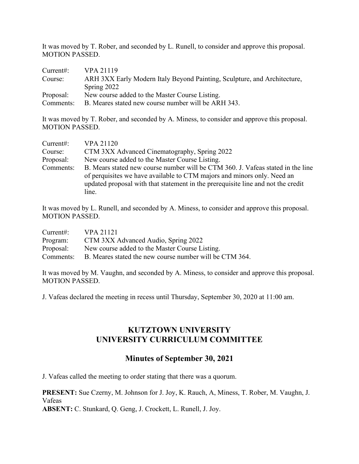It was moved by T. Rober, and seconded by L. Runell, to consider and approve this proposal. MOTION PASSED.

| Current:  | VPA 21119                                                                |  |
|-----------|--------------------------------------------------------------------------|--|
| Course:   | ARH 3XX Early Modern Italy Beyond Painting, Sculpture, and Architecture, |  |
|           | Spring $2022$                                                            |  |
| Proposal: | New course added to the Master Course Listing.                           |  |
| Comments: | B. Meares stated new course number will be ARH 343.                      |  |

It was moved by T. Rober, and seconded by A. Miness, to consider and approve this proposal. MOTION PASSED.

| Current:  | <b>VPA 21120</b>                                                                                                                                                                                                                                        |  |
|-----------|---------------------------------------------------------------------------------------------------------------------------------------------------------------------------------------------------------------------------------------------------------|--|
| Course:   | CTM 3XX Advanced Cinematography, Spring 2022                                                                                                                                                                                                            |  |
| Proposal: | New course added to the Master Course Listing.                                                                                                                                                                                                          |  |
| Comments: | B. Mears stated new course number will be CTM 360. J. Vafeas stated in the line<br>of perquisites we have available to CTM majors and minors only. Need an<br>updated proposal with that statement in the prerequisite line and not the credit<br>line. |  |

It was moved by L. Runell, and seconded by A. Miness, to consider and approve this proposal. MOTION PASSED.

| Current:  | VPA 21121                                               |
|-----------|---------------------------------------------------------|
| Program:  | CTM 3XX Advanced Audio, Spring 2022                     |
| Proposal: | New course added to the Master Course Listing.          |
| Comments: | B. Meares stated the new course number will be CTM 364. |

It was moved by M. Vaughn, and seconded by A. Miness, to consider and approve this proposal. MOTION PASSED.

J. Vafeas declared the meeting in recess until Thursday, September 30, 2020 at 11:00 am.

## **KUTZTOWN UNIVERSITY UNIVERSITY CURRICULUM COMMITTEE**

## **Minutes of September 30, 2021**

J. Vafeas called the meeting to order stating that there was a quorum.

**PRESENT:** Sue Czerny, M. Johnson for J. Joy, K. Rauch, A, Miness, T. Rober, M. Vaughn, J. Vafeas **ABSENT:** C. Stunkard, Q. Geng, J. Crockett, L. Runell, J. Joy.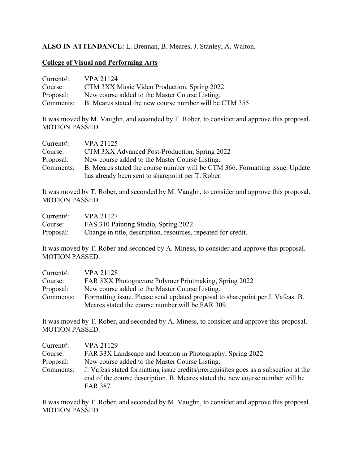## **ALSO IN ATTENDANCE:** L. Brennan, B. Meares, J. Stanley, A. Walton.

#### **College of Visual and Performing Arts**

| Current:  | VPA 21124                                               |
|-----------|---------------------------------------------------------|
| Course:   | CTM 3XX Music Video Production, Spring 2022             |
| Proposal: | New course added to the Master Course Listing.          |
| Comments: | B. Meares stated the new course number will be CTM 355. |

It was moved by M. Vaughn, and seconded by T. Rober, to consider and approve this proposal. MOTION PASSED.

| Current:  | VPA 21125                                                                                                                          |
|-----------|------------------------------------------------------------------------------------------------------------------------------------|
| Course:   | CTM 3XX Advanced Post-Production, Spring 2022                                                                                      |
| Proposal: | New course added to the Master Course Listing.                                                                                     |
| Comments: | B. Meares stated the course number will be CTM 366. Formatting issue. Update<br>has already been sent to share point per T. Rober. |

It was moved by T. Rober, and seconded by M. Vaughn, to consider and approve this proposal. MOTION PASSED.

| Current:  | <b>VPA 21127</b>                                              |
|-----------|---------------------------------------------------------------|
| Course:   | FAS 310 Painting Studio, Spring 2022                          |
| Proposal: | Change in title, description, resources, repeated for credit. |

It was moved by T. Rober and seconded by A. Miness, to consider and approve this proposal. MOTION PASSED.

| Current:  | <b>VPA 21128</b>                                                                |  |
|-----------|---------------------------------------------------------------------------------|--|
| Course:   | FAR 3XX Photogravure Polymer Printmaking, Spring 2022                           |  |
| Proposal: | New course added to the Master Course Listing.                                  |  |
| Comments: | Formatting issue. Please send updated proposal to share point per J. Vafeas. B. |  |
|           | Meares stated the course number will be FAR 309.                                |  |

It was moved by T. Rober, and seconded by A. Miness, to consider and approve this proposal. MOTION PASSED.

| Current:  | <b>VPA 21129</b>                                                                                                                                                                 |
|-----------|----------------------------------------------------------------------------------------------------------------------------------------------------------------------------------|
| Course:   | FAR 33X Landscape and location in Photography, Spring 2022                                                                                                                       |
| Proposal: | New course added to the Master Course Listing.                                                                                                                                   |
| Comments: | J. Vafeas stated formatting issue credits/prerequisites goes as a subsection at the<br>end of the course description. B. Meares stated the new course number will be<br>FAR 387. |

It was moved by T. Rober, and seconded by M. Vaughn, to consider and approve this proposal. MOTION PASSED.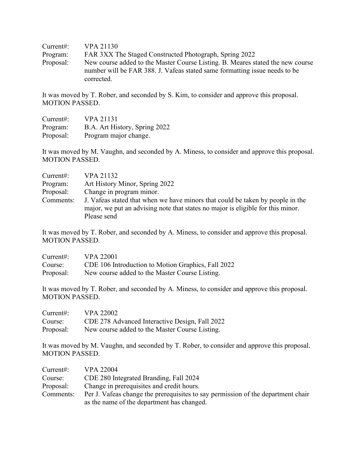| Current:  | <b>VPA 21130</b>                                                                                                                                                           |
|-----------|----------------------------------------------------------------------------------------------------------------------------------------------------------------------------|
| Program:  | FAR 3XX The Staged Constructed Photograph, Spring 2022                                                                                                                     |
| Proposal: | New course added to the Master Course Listing. B. Meares stated the new course<br>number will be FAR 388. J. Vafeas stated same formatting issue needs to be<br>corrected. |

It was moved by T. Rober, and seconded by S. Kim, to consider and approve this proposal. MOTION PASSED.

| Current:  | <b>VPA 21131</b>              |
|-----------|-------------------------------|
| Program:  | B.A. Art History, Spring 2022 |
| Proposal: | Program major change.         |

It was moved by M. Vaughn, and seconded by A. Miness, to consider and approve this proposal. MOTION PASSED.

| Current:  | VPA 21132                                                                                                                                                         |
|-----------|-------------------------------------------------------------------------------------------------------------------------------------------------------------------|
| Program:  | Art History Minor, Spring 2022                                                                                                                                    |
| Proposal: | Change in program minor.                                                                                                                                          |
| Comments: | J. Vafeas stated that when we have minors that could be taken by people in the<br>major, we put an advising note that states no major is eligible for this minor. |
|           | Please send                                                                                                                                                       |

It was moved by T. Rober, and seconded by A. Miness, to consider and approve this proposal. MOTION PASSED.

| Current:  | <b>VPA 22001</b>                                   |
|-----------|----------------------------------------------------|
| Course:   | CDE 106 Introduction to Motion Graphics, Fall 2022 |
| Proposal: | New course added to the Master Course Listing.     |

It was moved by T. Rober, and seconded by A. Miness, to consider and approve this proposal. MOTION PASSED.

| Current:  | <b>VPA 22002</b>                               |
|-----------|------------------------------------------------|
| Course:   | CDE 278 Advanced Interactive Design, Fall 2022 |
| Proposal: | New course added to the Master Course Listing. |

It was moved by M. Vaughn, and seconded by T. Rober, to consider and approve this proposal. MOTION PASSED.

| Current:  | <b>VPA 22004</b>                                                                                                               |
|-----------|--------------------------------------------------------------------------------------------------------------------------------|
| Course:   | CDE 280 Integrated Branding, Fall 2024                                                                                         |
| Proposal: | Change in prerequisites and credit hours.                                                                                      |
| Comments: | Per J. Vafeas change the prerequisites to say permission of the department chair<br>as the name of the department has changed. |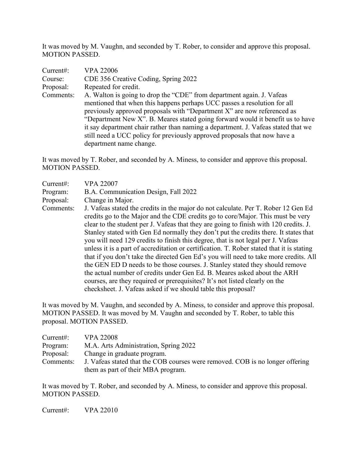It was moved by M. Vaughn, and seconded by T. Rober, to consider and approve this proposal. MOTION PASSED.

| Current:  | <b>VPA 22006</b>                                                                  |
|-----------|-----------------------------------------------------------------------------------|
| Course:   | CDE 356 Creative Coding, Spring 2022                                              |
| Proposal: | Repeated for credit.                                                              |
| Comments: | A. Walton is going to drop the "CDE" from department again. J. Vafeas             |
|           | mentioned that when this happens perhaps UCC passes a resolution for all          |
|           | previously approved proposals with "Department X" are now referenced as           |
|           | "Department New X". B. Meares stated going forward would it benefit us to have    |
|           | it say department chair rather than naming a department. J. Vafeas stated that we |
|           | still need a UCC policy for previously approved proposals that now have a         |
|           | department name change.                                                           |

It was moved by T. Rober, and seconded by A. Miness, to consider and approve this proposal. MOTION PASSED.

| Current:  | <b>VPA 22007</b>                                                                                                                                                                                                                                                                                                                                                                                                                                                                                                                          |
|-----------|-------------------------------------------------------------------------------------------------------------------------------------------------------------------------------------------------------------------------------------------------------------------------------------------------------------------------------------------------------------------------------------------------------------------------------------------------------------------------------------------------------------------------------------------|
| Program:  | B.A. Communication Design, Fall 2022                                                                                                                                                                                                                                                                                                                                                                                                                                                                                                      |
| Proposal: | Change in Major.                                                                                                                                                                                                                                                                                                                                                                                                                                                                                                                          |
| Comments: | J. Vafeas stated the credits in the major do not calculate. Per T. Rober 12 Gen Ed<br>credits go to the Major and the CDE credits go to core/Major. This must be very<br>clear to the student per J. Vafeas that they are going to finish with 120 credits. J.<br>Stanley stated with Gen Ed normally they don't put the credits there. It states that<br>you will need 129 credits to finish this degree, that is not legal per J. Vafeas<br>unless it is a part of accreditation or certification $T$ . Rober stated that it is stating |

unless it is a part of accreditation or certification. T. Rober stated that it is stating that if you don't take the directed Gen Ed's you will need to take more credits. All the GEN ED D needs to be those courses. J. Stanley stated they should remove the actual number of credits under Gen Ed. B. Meares asked about the ARH courses, are they required or prerequisites? It's not listed clearly on the checksheet. J. Vafeas asked if we should table this proposal?

It was moved by M. Vaughn, and seconded by A. Miness, to consider and approve this proposal. MOTION PASSED. It was moved by M. Vaughn and seconded by T. Rober, to table this proposal. MOTION PASSED.

| Current:  | <b>VPA 22008</b>                                                              |
|-----------|-------------------------------------------------------------------------------|
| Program:  | M.A. Arts Administration, Spring 2022                                         |
| Proposal: | Change in graduate program.                                                   |
| Comments: | J. Vafeas stated that the COB courses were removed. COB is no longer offering |
|           | them as part of their MBA program.                                            |

It was moved by T. Rober, and seconded by A. Miness, to consider and approve this proposal. MOTION PASSED.

Current#: VPA 22010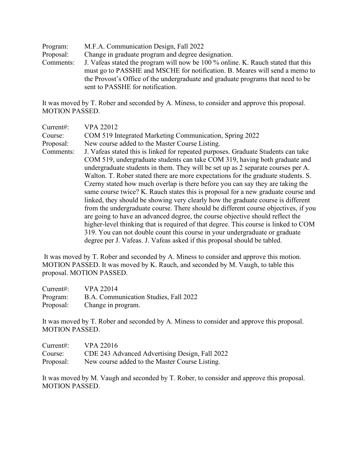Program: M.F.A. Communication Design, Fall 2022 Proposal: Change in graduate program and degree designation. Comments: J. Vafeas stated the program will now be 100 % online. K. Rauch stated that this must go to PASSHE and MSCHE for notification. B. Meares will send a memo to the Provost's Office of the undergraduate and graduate programs that need to be sent to PASSHE for notification.

It was moved by T. Rober and seconded by A. Miness, to consider and approve this proposal. MOTION PASSED.

| Current#: | <b>VPA 22012</b>                                                                    |
|-----------|-------------------------------------------------------------------------------------|
| Course:   | COM 519 Integrated Marketing Communication, Spring 2022                             |
| Proposal: | New course added to the Master Course Listing.                                      |
| Comments: | J. Vafeas stated this is linked for repeated purposes. Graduate Students can take   |
|           | COM 519, undergraduate students can take COM 319, having both graduate and          |
|           | undergraduate students in them. They will be set up as 2 separate courses per A.    |
|           | Walton. T. Rober stated there are more expectations for the graduate students. S.   |
|           | Czerny stated how much overlap is there before you can say they are taking the      |
|           | same course twice? K. Rauch states this is proposal for a new graduate course and   |
|           | linked, they should be showing very clearly how the graduate course is different    |
|           | from the undergraduate course. There should be different course objectives, if you  |
|           | are going to have an advanced degree, the course objective should reflect the       |
|           | higher-level thinking that is required of that degree. This course is linked to COM |
|           | 319. You can not double count this course in your undergraduate or graduate         |
|           | degree per J. Vafeas. J. Vafeas asked if this proposal should be tabled.            |

It was moved by T. Rober and seconded by A. Miness to consider and approve this motion. MOTION PASSED. It was moved by K. Rauch, and seconded by M. Vaugh, to table this proposal. MOTION PASSED.

| Current:  | <b>VPA 22014</b>                      |
|-----------|---------------------------------------|
| Program:  | B.A. Communication Studies, Fall 2022 |
| Proposal: | Change in program.                    |

It was moved by T. Rober and seconded by A. Miness to consider and approve this proposal. MOTION PASSED.

| Current:  | <b>VPA 22016</b>                               |
|-----------|------------------------------------------------|
| Course:   | CDE 243 Advanced Advertising Design, Fall 2022 |
| Proposal: | New course added to the Master Course Listing. |

It was moved by M. Vaugh and seconded by T. Rober, to consider and approve this proposal. MOTION PASSED.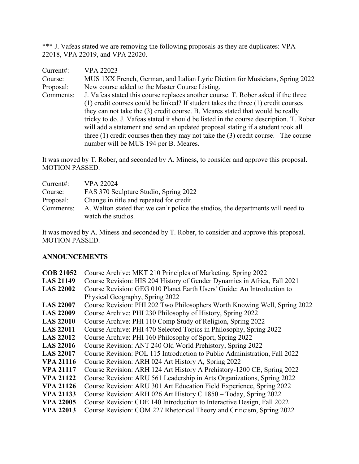\*\*\* J. Vafeas stated we are removing the following proposals as they are duplicates: VPA 22018, VPA 22019, and VPA 22020.

| Current:  | <b>VPA 22023</b>                                                                       |
|-----------|----------------------------------------------------------------------------------------|
| Course:   | MUS 1XX French, German, and Italian Lyric Diction for Musicians, Spring 2022           |
| Proposal: | New course added to the Master Course Listing.                                         |
| Comments: | J. Vafeas stated this course replaces another course. T. Rober asked if the three      |
|           | (1) credit courses could be linked? If student takes the three (1) credit courses      |
|           | they can not take the (3) credit course. B. Meares stated that would be really         |
|           | tricky to do. J. Vafeas stated it should be listed in the course description. T. Rober |
|           | will add a statement and send an updated proposal stating if a student took all        |
|           | three $(1)$ credit courses then they may not take the $(3)$ credit course. The course  |
|           | number will be MUS 194 per B. Meares.                                                  |

It was moved by T. Rober, and seconded by A. Miness, to consider and approve this proposal. MOTION PASSED.

| Current:  | VPA 22024                                                                       |
|-----------|---------------------------------------------------------------------------------|
| Course:   | FAS 370 Sculpture Studio, Spring 2022                                           |
| Proposal: | Change in title and repeated for credit.                                        |
| Comments: | A. Walton stated that we can't police the studios, the departments will need to |
|           | watch the studios.                                                              |

It was moved by A. Miness and seconded by T. Rober, to consider and approve this proposal. MOTION PASSED.

#### **ANNOUNCEMENTS**

| <b>COB 21052</b> | Course Archive: MKT 210 Principles of Marketing, Spring 2022              |
|------------------|---------------------------------------------------------------------------|
| <b>LAS 21149</b> | Course Revision: HIS 204 History of Gender Dynamics in Africa, Fall 2021  |
| <b>LAS 22002</b> | Course Revision: GEG 010 Planet Earth Users' Guide: An Introduction to    |
|                  | Physical Geography, Spring 2022                                           |
| <b>LAS 22007</b> | Course Revision: PHI 202 Two Philosophers Worth Knowing Well, Spring 2022 |
| <b>LAS 22009</b> | Course Archive: PHI 230 Philosophy of History, Spring 2022                |
| <b>LAS 22010</b> | Course Archive: PHI 110 Comp Study of Religion, Spring 2022               |
| <b>LAS 22011</b> | Course Archive: PHI 470 Selected Topics in Philosophy, Spring 2022        |
| <b>LAS 22012</b> | Course Archive: PHI 160 Philosophy of Sport, Spring 2022                  |
| <b>LAS 22016</b> | Course Revision: ANT 240 Old World Prehistory, Spring 2022                |
| <b>LAS 22017</b> | Course Revision: POL 115 Introduction to Public Administration, Fall 2022 |
| <b>VPA 21116</b> | Course Revision: ARH 024 Art History A, Spring 2022                       |
| <b>VPA 21117</b> | Course Revision: ARH 124 Art History A Prehistory-1200 CE, Spring 2022    |
| <b>VPA 21122</b> | Course Revision: ARU 561 Leadership in Arts Organizations, Spring 2022    |
| <b>VPA 21126</b> | Course Revision: ARU 301 Art Education Field Experience, Spring 2022      |
| <b>VPA 21133</b> | Course Revision: ARH 026 Art History C 1850 – Today, Spring 2022          |
| <b>VPA 22005</b> | Course Revision: CDE 140 Introduction to Interactive Design, Fall 2022    |
| <b>VPA 22013</b> | Course Revision: COM 227 Rhetorical Theory and Criticism, Spring 2022     |
|                  |                                                                           |